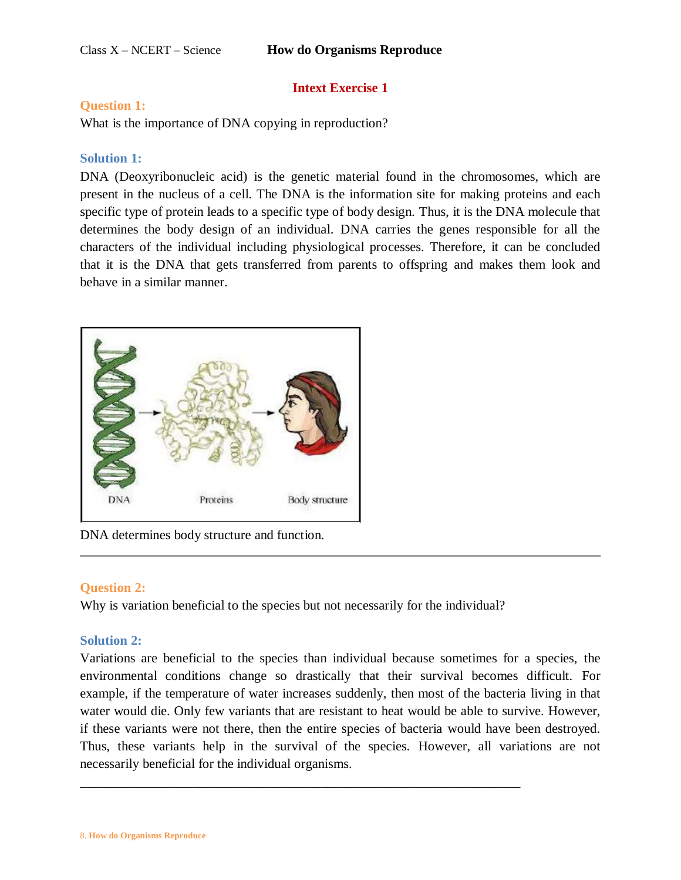# **Intext Exercise 1**

## **Question 1:**

What is the importance of DNA copying in reproduction?

# **Solution 1:**

DNA (Deoxyribonucleic acid) is the genetic material found in the chromosomes, which are present in the nucleus of a cell. The DNA is the information site for making proteins and each specific type of protein leads to a specific type of body design. Thus, it is the DNA molecule that determines the body design of an individual. DNA carries the genes responsible for all the characters of the individual including physiological processes. Therefore, it can be concluded that it is the DNA that gets transferred from parents to offspring and makes them look and behave in a similar manner.



DNA determines body structure and function.

# **Question 2:**

Why is variation beneficial to the species but not necessarily for the individual?

\_\_\_\_\_\_\_\_\_\_\_\_\_\_\_\_\_\_\_\_\_\_\_\_\_\_\_\_\_\_\_\_\_\_\_\_\_\_\_\_\_\_\_\_\_\_\_\_\_\_\_\_\_\_\_\_\_\_\_\_\_\_\_\_\_\_

# **Solution 2:**

Variations are beneficial to the species than individual because sometimes for a species, the environmental conditions change so drastically that their survival becomes difficult. For example, if the temperature of water increases suddenly, then most of the bacteria living in that water would die. Only few variants that are resistant to heat would be able to survive. However, if these variants were not there, then the entire species of bacteria would have been destroyed. Thus, these variants help in the survival of the species. However, all variations are not necessarily beneficial for the individual organisms.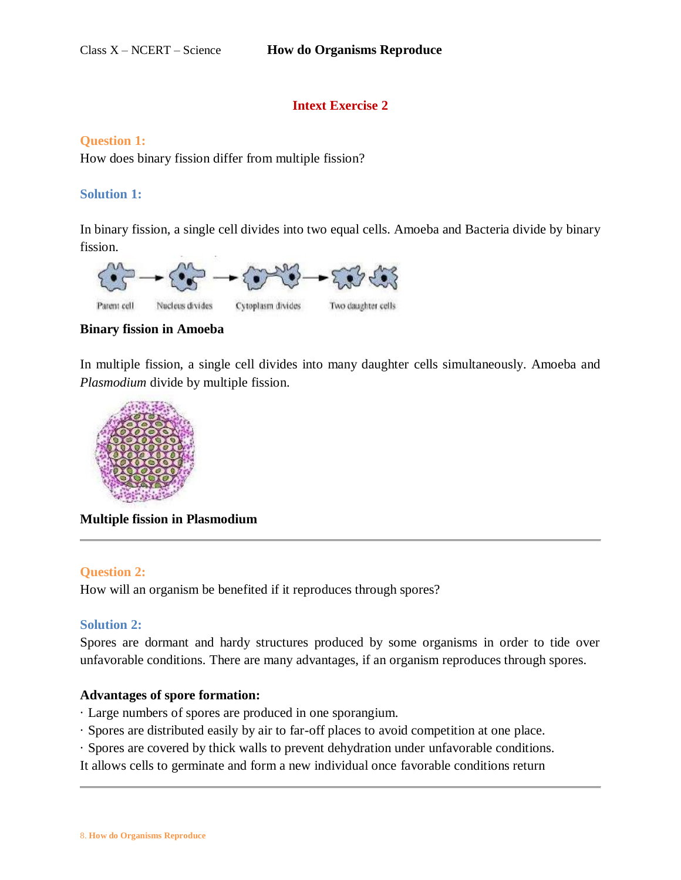# **Intext Exercise 2**

#### **Question 1:**

How does binary fission differ from multiple fission?

#### **Solution 1:**

In binary fission, a single cell divides into two equal cells. Amoeba and Bacteria divide by binary fission.



**Binary fission in Amoeba**

In multiple fission, a single cell divides into many daughter cells simultaneously. Amoeba and *Plasmodium* divide by multiple fission.



**Multiple fission in Plasmodium**

#### **Question 2:**

How will an organism be benefited if it reproduces through spores?

#### **Solution 2:**

Spores are dormant and hardy structures produced by some organisms in order to tide over unfavorable conditions. There are many advantages, if an organism reproduces through spores.

#### **Advantages of spore formation:**

- · Large numbers of spores are produced in one sporangium.
- · Spores are distributed easily by air to far-off places to avoid competition at one place.
- · Spores are covered by thick walls to prevent dehydration under unfavorable conditions.

It allows cells to germinate and form a new individual once favorable conditions return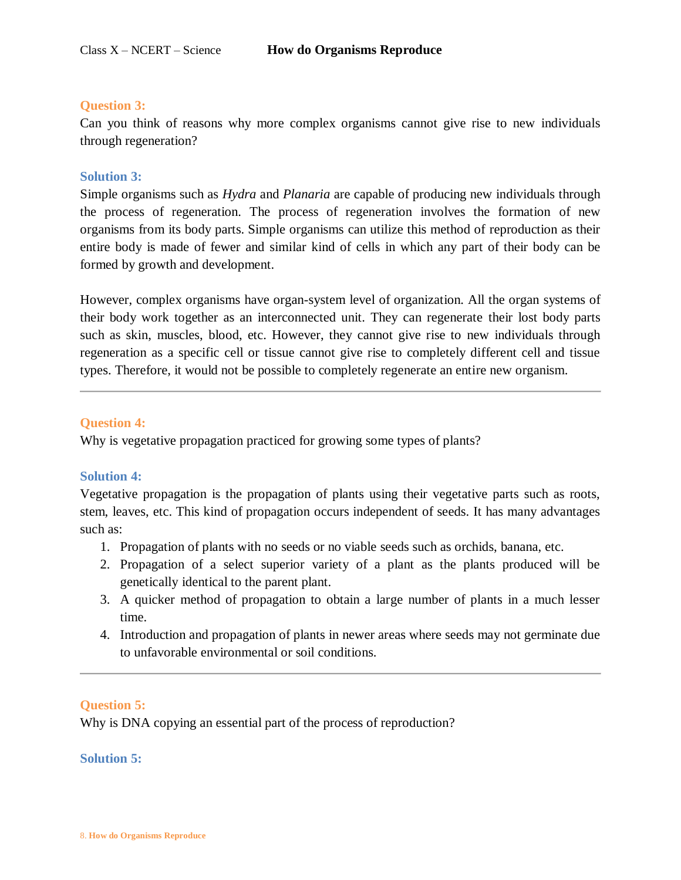#### **Question 3:**

Can you think of reasons why more complex organisms cannot give rise to new individuals through regeneration?

## **Solution 3:**

Simple organisms such as *Hydra* and *Planaria* are capable of producing new individuals through the process of regeneration. The process of regeneration involves the formation of new organisms from its body parts. Simple organisms can utilize this method of reproduction as their entire body is made of fewer and similar kind of cells in which any part of their body can be formed by growth and development.

However, complex organisms have organ-system level of organization. All the organ systems of their body work together as an interconnected unit. They can regenerate their lost body parts such as skin, muscles, blood, etc. However, they cannot give rise to new individuals through regeneration as a specific cell or tissue cannot give rise to completely different cell and tissue types. Therefore, it would not be possible to completely regenerate an entire new organism.

## **Question 4:**

Why is vegetative propagation practiced for growing some types of plants?

## **Solution 4:**

Vegetative propagation is the propagation of plants using their vegetative parts such as roots, stem, leaves, etc. This kind of propagation occurs independent of seeds. It has many advantages such as:

- 1. Propagation of plants with no seeds or no viable seeds such as orchids, banana, etc.
- 2. Propagation of a select superior variety of a plant as the plants produced will be genetically identical to the parent plant.
- 3. A quicker method of propagation to obtain a large number of plants in a much lesser time.
- 4. Introduction and propagation of plants in newer areas where seeds may not germinate due to unfavorable environmental or soil conditions.

## **Question 5:**

Why is DNA copying an essential part of the process of reproduction?

#### **Solution 5:**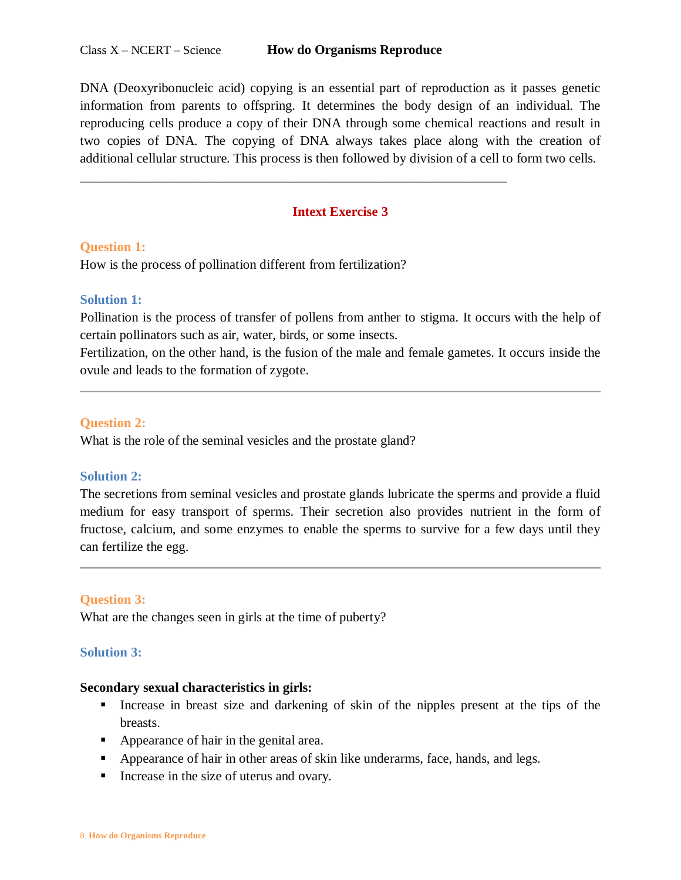DNA (Deoxyribonucleic acid) copying is an essential part of reproduction as it passes genetic information from parents to offspring. It determines the body design of an individual. The reproducing cells produce a copy of their DNA through some chemical reactions and result in two copies of DNA. The copying of DNA always takes place along with the creation of additional cellular structure. This process is then followed by division of a cell to form two cells.

## **Intext Exercise 3**

\_\_\_\_\_\_\_\_\_\_\_\_\_\_\_\_\_\_\_\_\_\_\_\_\_\_\_\_\_\_\_\_\_\_\_\_\_\_\_\_\_\_\_\_\_\_\_\_\_\_\_\_\_\_\_\_\_\_\_\_\_\_\_\_

#### **Question 1:**

How is the process of pollination different from fertilization?

## **Solution 1:**

Pollination is the process of transfer of pollens from anther to stigma. It occurs with the help of certain pollinators such as air, water, birds, or some insects.

Fertilization, on the other hand, is the fusion of the male and female gametes. It occurs inside the ovule and leads to the formation of zygote.

#### **Question 2:**

What is the role of the seminal vesicles and the prostate gland?

## **Solution 2:**

The secretions from seminal vesicles and prostate glands lubricate the sperms and provide a fluid medium for easy transport of sperms. Their secretion also provides nutrient in the form of fructose, calcium, and some enzymes to enable the sperms to survive for a few days until they can fertilize the egg.

#### **Question 3:**

What are the changes seen in girls at the time of puberty?

#### **Solution 3:**

#### **Secondary sexual characteristics in girls:**

- Increase in breast size and darkening of skin of the nipples present at the tips of the breasts.
- Appearance of hair in the genital area.
- **EXECUTE:** Appearance of hair in other areas of skin like underarms, face, hands, and legs.
- Increase in the size of uterus and ovary.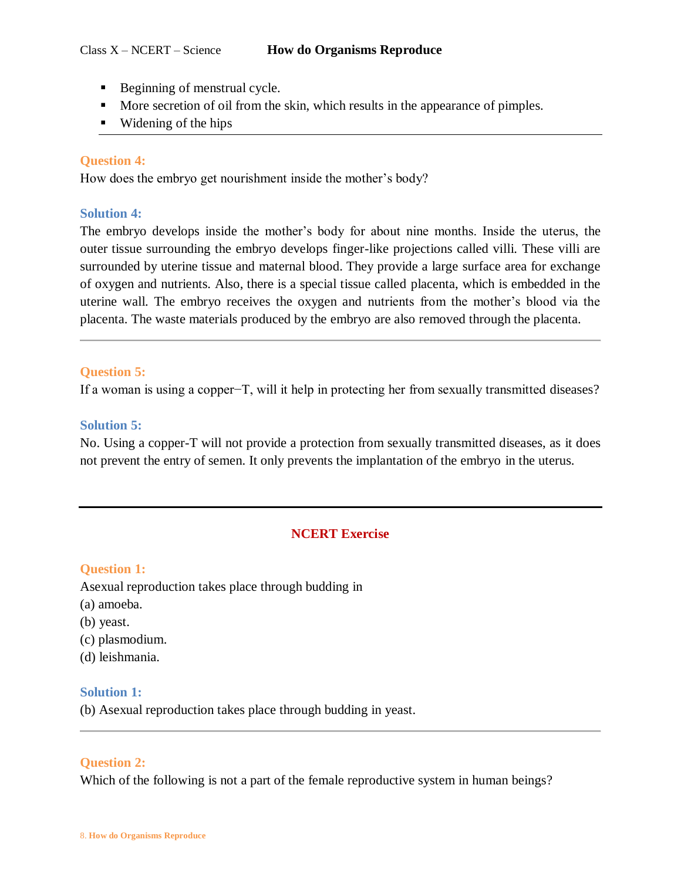- Beginning of menstrual cycle.
- More secretion of oil from the skin, which results in the appearance of pimples.
- $\blacksquare$  Widening of the hips

## **Question 4:**

How does the embryo get nourishment inside the mother's body?

## **Solution 4:**

The embryo develops inside the mother's body for about nine months. Inside the uterus, the outer tissue surrounding the embryo develops finger-like projections called villi. These villi are surrounded by uterine tissue and maternal blood. They provide a large surface area for exchange of oxygen and nutrients. Also, there is a special tissue called placenta, which is embedded in the uterine wall. The embryo receives the oxygen and nutrients from the mother's blood via the placenta. The waste materials produced by the embryo are also removed through the placenta.

## **Question 5:**

If a woman is using a copper−T, will it help in protecting her from sexually transmitted diseases?

## **Solution 5:**

No. Using a copper-T will not provide a protection from sexually transmitted diseases, as it does not prevent the entry of semen. It only prevents the implantation of the embryo in the uterus.

# **NCERT Exercise**

## **Question 1:**

Asexual reproduction takes place through budding in

- (a) amoeba.
- (b) yeast.
- (c) plasmodium.
- (d) leishmania.

## **Solution 1:**

(b) Asexual reproduction takes place through budding in yeast.

## **Question 2:**

Which of the following is not a part of the female reproductive system in human beings?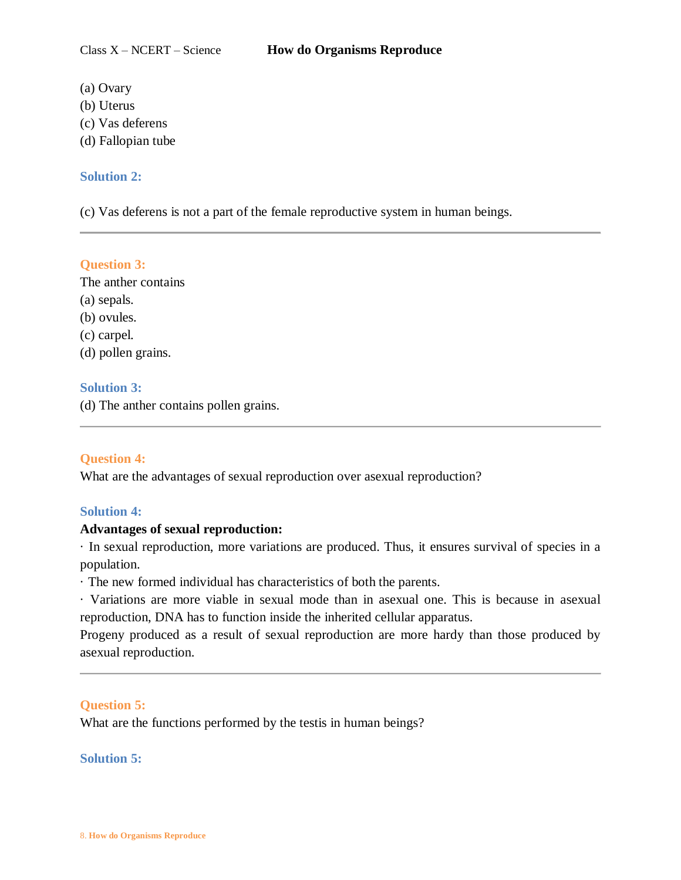- (a) Ovary
- (b) Uterus
- (c) Vas deferens
- (d) Fallopian tube

## **Solution 2:**

(c) Vas deferens is not a part of the female reproductive system in human beings.

# **Question 3:**

The anther contains (a) sepals. (b) ovules. (c) carpel. (d) pollen grains.

# **Solution 3:**

(d) The anther contains pollen grains.

# **Question 4:**

What are the advantages of sexual reproduction over asexual reproduction?

# **Solution 4:**

# **Advantages of sexual reproduction:**

· In sexual reproduction, more variations are produced. Thus, it ensures survival of species in a population.

· The new formed individual has characteristics of both the parents.

· Variations are more viable in sexual mode than in asexual one. This is because in asexual reproduction, DNA has to function inside the inherited cellular apparatus.

Progeny produced as a result of sexual reproduction are more hardy than those produced by asexual reproduction.

# **Question 5:**

What are the functions performed by the testis in human beings?

## **Solution 5:**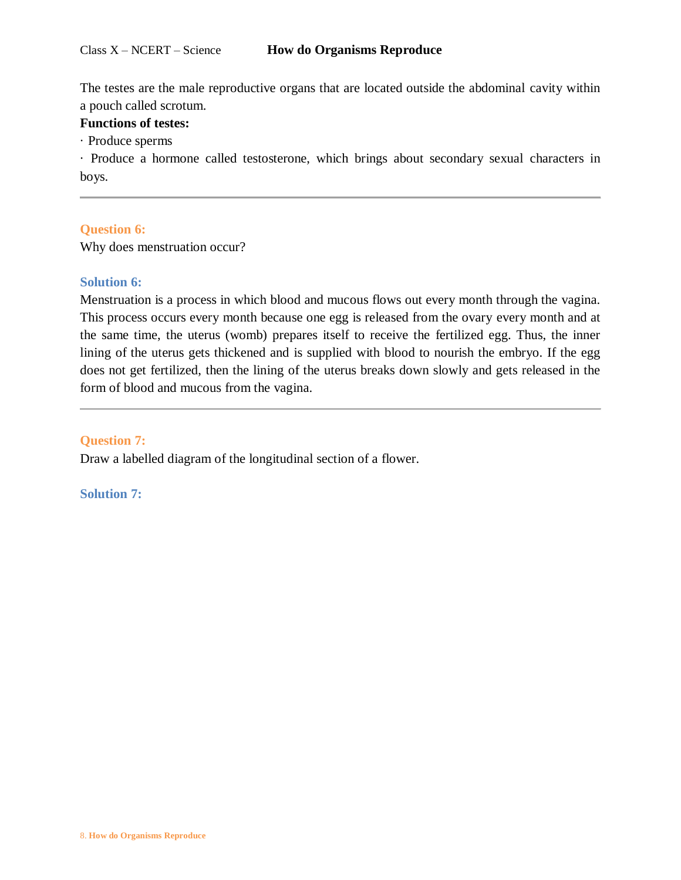The testes are the male reproductive organs that are located outside the abdominal cavity within a pouch called scrotum.

## **Functions of testes:**

· Produce sperms

· Produce a hormone called testosterone, which brings about secondary sexual characters in boys.

# **Question 6:**

Why does menstruation occur?

## **Solution 6:**

Menstruation is a process in which blood and mucous flows out every month through the vagina. This process occurs every month because one egg is released from the ovary every month and at the same time, the uterus (womb) prepares itself to receive the fertilized egg. Thus, the inner lining of the uterus gets thickened and is supplied with blood to nourish the embryo. If the egg does not get fertilized, then the lining of the uterus breaks down slowly and gets released in the form of blood and mucous from the vagina.

## **Question 7:**

Draw a labelled diagram of the longitudinal section of a flower.

**Solution 7:**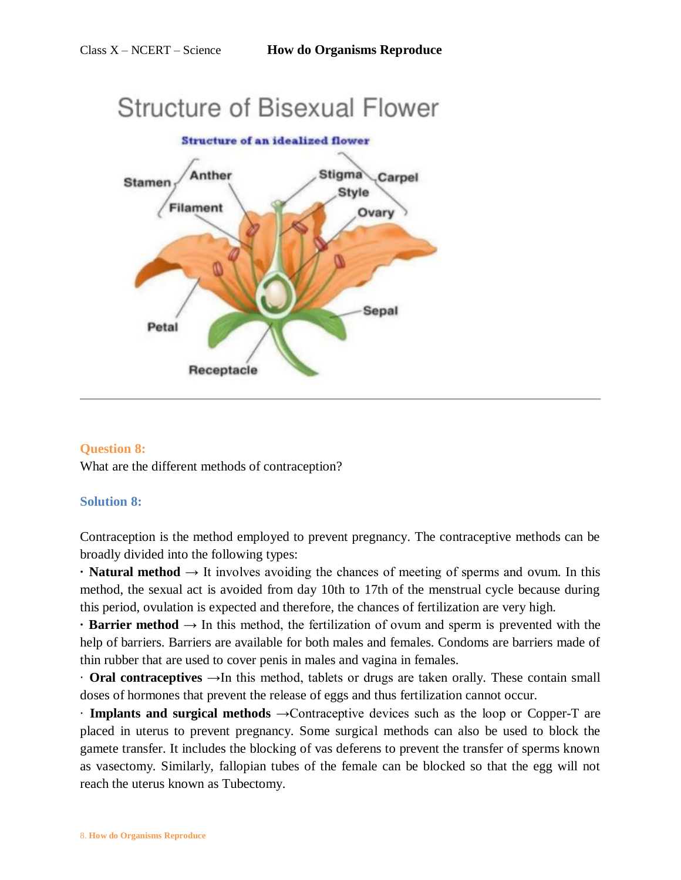# **Structure of Bisexual Flower Structure of an idealized flower** Anther Stigma .Carpel **Stamen Style Filament** Ovary Sepal Petal Receptacle

# **Question 8:**

What are the different methods of contraception?

## **Solution 8:**

Contraception is the method employed to prevent pregnancy. The contraceptive methods can be broadly divided into the following types:

**· Natural method** → It involves avoiding the chances of meeting of sperms and ovum. In this method, the sexual act is avoided from day 10th to 17th of the menstrual cycle because during this period, ovulation is expected and therefore, the chances of fertilization are very high.

**• Barrier method**  $\rightarrow$  In this method, the fertilization of ovum and sperm is prevented with the help of barriers. Barriers are available for both males and females. Condoms are barriers made of thin rubber that are used to cover penis in males and vagina in females.

· **Oral contraceptives** →In this method, tablets or drugs are taken orally. These contain small doses of hormones that prevent the release of eggs and thus fertilization cannot occur.

· **Implants and surgical methods** →Contraceptive devices such as the loop or Copper-T are placed in uterus to prevent pregnancy. Some surgical methods can also be used to block the gamete transfer. It includes the blocking of vas deferens to prevent the transfer of sperms known as vasectomy. Similarly, fallopian tubes of the female can be blocked so that the egg will not reach the uterus known as Tubectomy.